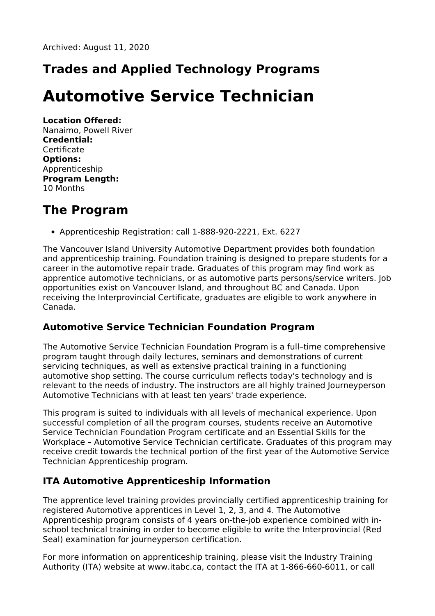## **Trades and Applied Technology Programs**

# **Automotive Service Technician**

**Location Offered:** Nanaimo, Powell River **Credential: Certificate Options:** Apprenticeship **Program Length:** 10 Months

#### **The Program**

Apprenticeship Registration: call 1-888-920-2221, Ext. 6227

The Vancouver Island University Automotive Department provides both foundation and apprenticeship training. Foundation training is designed to prepare students for a career in the automotive repair trade. Graduates of this program may find work as apprentice automotive technicians, or as automotive parts persons/service writers. Job opportunities exist on Vancouver Island, and throughout BC and Canada. Upon receiving the Interprovincial Certificate, graduates are eligible to work anywhere in Canada.

#### **Automotive Service Technician Foundation Program**

The Automotive Service Technician Foundation Program is a full–time comprehensive program taught through daily lectures, seminars and demonstrations of current servicing techniques, as well as extensive practical training in a functioning automotive shop setting. The course curriculum reflects today's technology and is relevant to the needs of industry. The instructors are all highly trained Journeyperson Automotive Technicians with at least ten years' trade experience.

This program is suited to individuals with all levels of mechanical experience. Upon successful completion of all the program courses, students receive an Automotive Service Technician Foundation Program certificate and an Essential Skills for the Workplace – Automotive Service Technician certificate. Graduates of this program may receive credit towards the technical portion of the first year of the Automotive Service Technician Apprenticeship program.

#### **ITA Automotive Apprenticeship Information**

The apprentice level training provides provincially certified apprenticeship training for registered Automotive apprentices in Level 1, 2, 3, and 4. The Automotive Apprenticeship program consists of 4 years on-the-job experience combined with inschool technical training in order to become eligible to write the Interprovincial (Red Seal) examination for journeyperson certification.

For more information on apprenticeship training, please visit the Industry Training Authority (ITA) website at www.itabc.ca, contact the ITA at 1-866-660-6011, or call